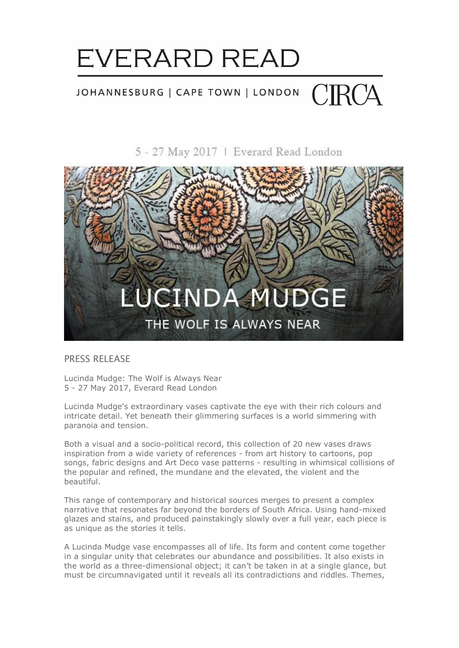

### CIRCA JOHANNESBURG | CAPE TOWN | LONDON

5 - 27 May 2017 | Everard Read London



### PRESS RELEASE

Lucinda Mudge: The Wolf is Always Near 5 - 27 May 2017, Everard Read London

Lucinda Mudge's extraordinary vases captivate the eye with their rich colours and intricate detail. Yet beneath their glimmering surfaces is a world simmering with paranoia and tension.

Both a visual and a socio-political record, this collection of 20 new vases draws inspiration from a wide variety of references - from art history to cartoons, pop songs, fabric designs and Art Deco vase patterns - resulting in whimsical collisions of the popular and refined, the mundane and the elevated, the violent and the beautiful.

This range of contemporary and historical sources merges to present a complex narrative that resonates far beyond the borders of South Africa. Using hand-mixed glazes and stains, and produced painstakingly slowly over a full year, each piece is as unique as the stories it tells.

A Lucinda Mudge vase encompasses all of life. Its form and content come together in a singular unity that celebrates our abundance and possibilities. It also exists in the world as a three-dimensional object; it can't be taken in at a single glance, but must be circumnavigated until it reveals all its contradictions and riddles. Themes,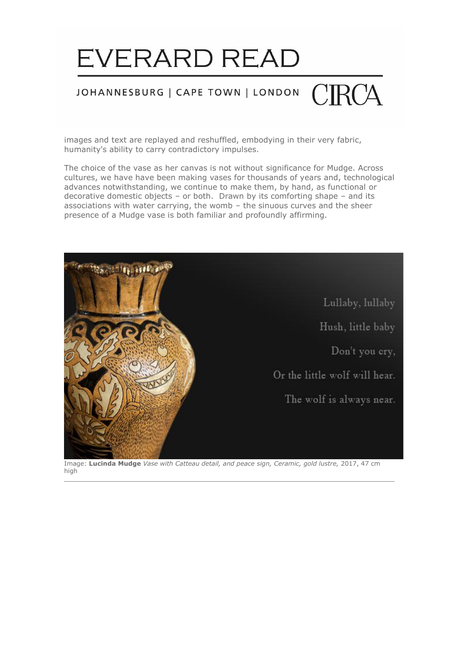

### JOHANNESBURG | CAPE TOWN | LONDON

images and text are replayed and reshuffled, embodying in their very fabric, humanity's ability to carry contradictory impulses.

The choice of the vase as her canvas is not without significance for Mudge. Across cultures, we have have been making vases for thousands of years and, technological advances notwithstanding, we continue to make them, by hand, as functional or decorative domestic objects – or both. Drawn by its comforting shape – and its associations with water carrying, the womb – the sinuous curves and the sheer presence of a Mudge vase is both familiar and profoundly affirming.



Image: **Lucinda Mudge** *Vase with Catteau detail, and peace sign, Ceramic, gold lustre,* 2017, 47 cm high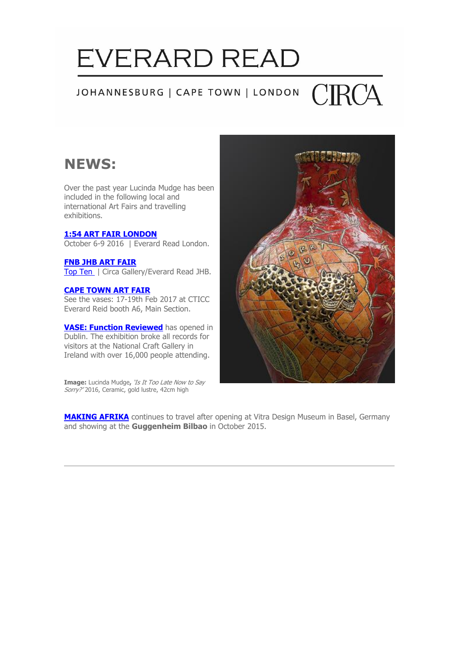#### CIRCA JOHANNESBURG | CAPE TOWN | LONDON

### **NEWS:**

Over the past year Lucinda Mudge has been included in the following local and international Art Fairs and travelling exhibitions.

#### **[1:54 ART FAIR LONDON](http://cts.vresp.com/c/?LucindaMudge/f4ede529fe/TEST/fe76173902)**

October 6-9 2016 | Everard Read London.

#### **FNB [JHB ART FAIR](http://cts.vresp.com/c/?LucindaMudge/f4ede529fe/TEST/613ad191f6)**

[Top Ten](http://cts.vresp.com/c/?LucindaMudge/f4ede529fe/TEST/fe83c9e9c3) | Circa Gallery/Everard Read JHB.

#### **[CAPE TOWN ART FAIR](http://cts.vresp.com/c/?LucindaMudge/f4ede529fe/TEST/fa5225e6d1)**

See the vases: 17-19th Feb 2017 at CTICC Everard Reid booth A6, Main Section.

**[VASE: Function Reviewed](http://cts.vresp.com/c/?LucindaMudge/f4ede529fe/TEST/bac91b0f2b)** has opened in Dublin. The exhibition broke all records for visitors at the National Craft Gallery in Ireland with over 16,000 people attending.

**Image:** Lucinda Mudge**,** 'Is It Too Late Now to Say Sorry?' 2016, Ceramic, gold lustre, 42cm high



**[MAKING AFRIKA](http://cts.vresp.com/c/?LucindaMudge/f4ede529fe/TEST/24b30cd615)** continues to travel after opening at Vitra Design Museum in Basel, Germany and showing at the **Guggenheim Bilbao** in October 2015.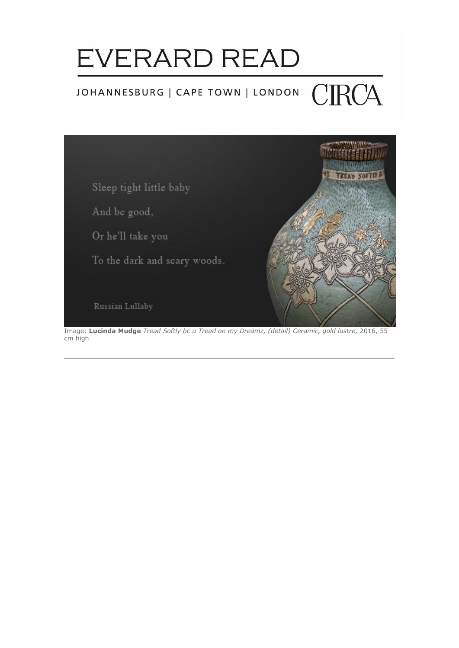### **CIRCA** JOHANNESBURG | CAPE TOWN | LONDON



Image: **Lucinda Mudge** *Tread Softly bc u Tread on my Dreamz, (detail) Ceramic, gold lustre,* 2016, 55 cm high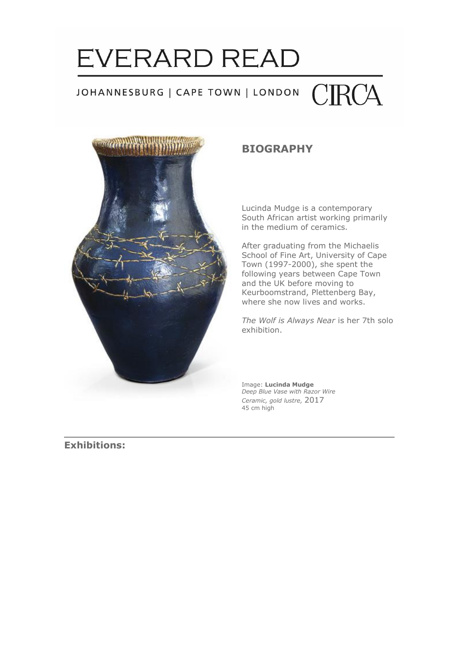### **EVERARD READ CIRCA** JOHANNESBURG | CAPE TOWN | LONDON



### **BIOGRAPHY**

Lucinda Mudge is a contemporary South African artist working primarily in the medium of ceramics.

After graduating from the Michaelis School of Fine Art, University of Cape Town (1997-2000), she spent the following years between Cape Town and the UK before moving to Keurboomstrand, Plettenberg Bay, where she now lives and works.

*The Wolf is Always Near* is her 7th solo exhibition.

Image: **Lucinda Mudge** *Deep Blue Vase with Razor Wire Ceramic, gold lustre,* 2017 45 cm high

**Exhibitions:**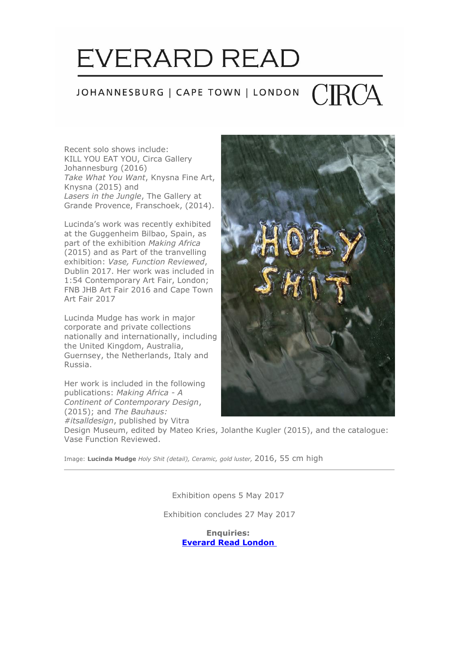### JOHANNESBURG | CAPE TOWN | LONDON

Recent solo shows include: KILL YOU EAT YOU, Circa Gallery Johannesburg (2016) *Take What You Want*, Knysna Fine Art, Knysna (2015) and *Lasers in the Jungle*, The Gallery at Grande Provence, Franschoek, (2014).

Lucinda's work was recently exhibited at the Guggenheim Bilbao, Spain, as part of the exhibition *Making Africa* (2015) and as Part of the tranvelling exhibition: *Vase, Function Reviewed*, Dublin 2017. Her work was included in 1:54 Contemporary Art Fair, London; FNB JHB Art Fair 2016 and Cape Town Art Fair 2017

Lucinda Mudge has work in major corporate and private collections nationally and internationally, including the United Kingdom, Australia, Guernsey, the Netherlands, Italy and Russia.

Her work is included in the following publications: *Making Africa - A Continent of Contemporary Design*, (2015); and *The Bauhaus: #itsalldesign*, published by Vitra



Design Museum, edited by Mateo Kries, Jolanthe Kugler (2015), and the catalogue: Vase Function Reviewed.

Image: **Lucinda Mudge** *Holy Shit (detail), Ceramic, gold luster,* 2016, 55 cm high

Exhibition opens 5 May 2017

Exhibition concludes 27 May 2017

**Enquiries: [Everard Read London](http://cts.vresp.com/c/?LucindaMudge/f4ede529fe/TEST/387789faba)**